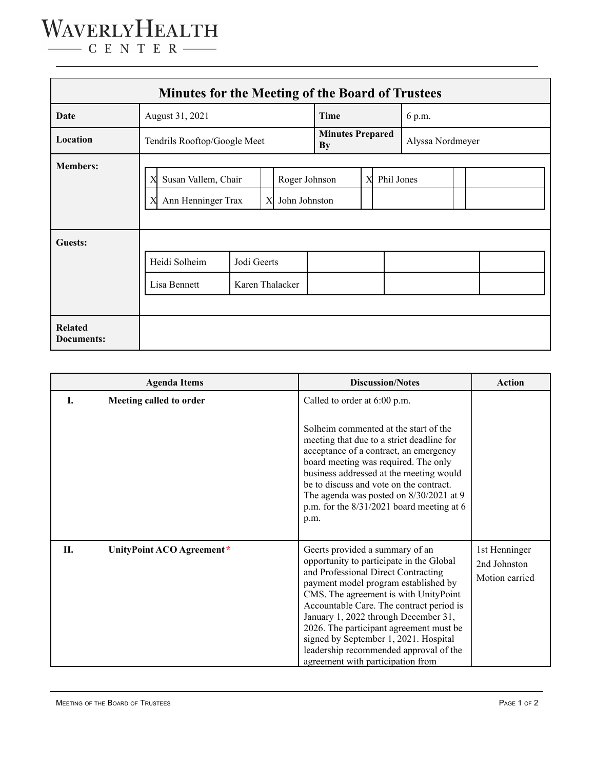## WAVERLYHEALTH  $\begin{tabular}{c} \quad \quad \textbf{C} \textbf{E} \textbf{N} \textbf{T} \textbf{E} \textbf{R} \end{tabular}$

| Minutes for the Meeting of the Board of Trustees |                                                          |                                |                                |                               |                 |  |                  |  |  |  |  |
|--------------------------------------------------|----------------------------------------------------------|--------------------------------|--------------------------------|-------------------------------|-----------------|--|------------------|--|--|--|--|
| <b>Date</b>                                      | August 31, 2021                                          |                                |                                | Time                          |                 |  | 6 p.m.           |  |  |  |  |
| Location                                         | Tendrils Rooftop/Google Meet                             |                                |                                | <b>Minutes Prepared</b><br>By |                 |  | Alyssa Nordmeyer |  |  |  |  |
| <b>Members:</b>                                  | Susan Vallem, Chair<br>Χ<br>Ann Henninger Trax<br>X<br>X |                                | Roger Johnson<br>John Johnston |                               | X<br>Phil Jones |  |                  |  |  |  |  |
| Guests:                                          | Heidi Solheim<br>Lisa Bennett                            | Jodi Geerts<br>Karen Thalacker |                                |                               |                 |  |                  |  |  |  |  |
| <b>Related</b><br>Documents:                     |                                                          |                                |                                |                               |                 |  |                  |  |  |  |  |

| <b>Agenda Items</b> |                           | <b>Discussion/Notes</b>                                                                                                                                                                                                                                                                                                                                                                                                                                    | <b>Action</b>                                   |
|---------------------|---------------------------|------------------------------------------------------------------------------------------------------------------------------------------------------------------------------------------------------------------------------------------------------------------------------------------------------------------------------------------------------------------------------------------------------------------------------------------------------------|-------------------------------------------------|
| L                   | Meeting called to order   | Called to order at 6:00 p.m.                                                                                                                                                                                                                                                                                                                                                                                                                               |                                                 |
|                     |                           | Solheim commented at the start of the<br>meeting that due to a strict deadline for<br>acceptance of a contract, an emergency<br>board meeting was required. The only<br>business addressed at the meeting would<br>be to discuss and vote on the contract.<br>The agenda was posted on $8/30/2021$ at 9<br>p.m. for the $8/31/2021$ board meeting at 6<br>p.m.                                                                                             |                                                 |
| П.                  | UnityPoint ACO Agreement* | Geerts provided a summary of an<br>opportunity to participate in the Global<br>and Professional Direct Contracting<br>payment model program established by<br>CMS. The agreement is with UnityPoint<br>Accountable Care. The contract period is<br>January 1, 2022 through December 31,<br>2026. The participant agreement must be<br>signed by September 1, 2021. Hospital<br>leadership recommended approval of the<br>agreement with participation from | 1st Henninger<br>2nd Johnston<br>Motion carried |